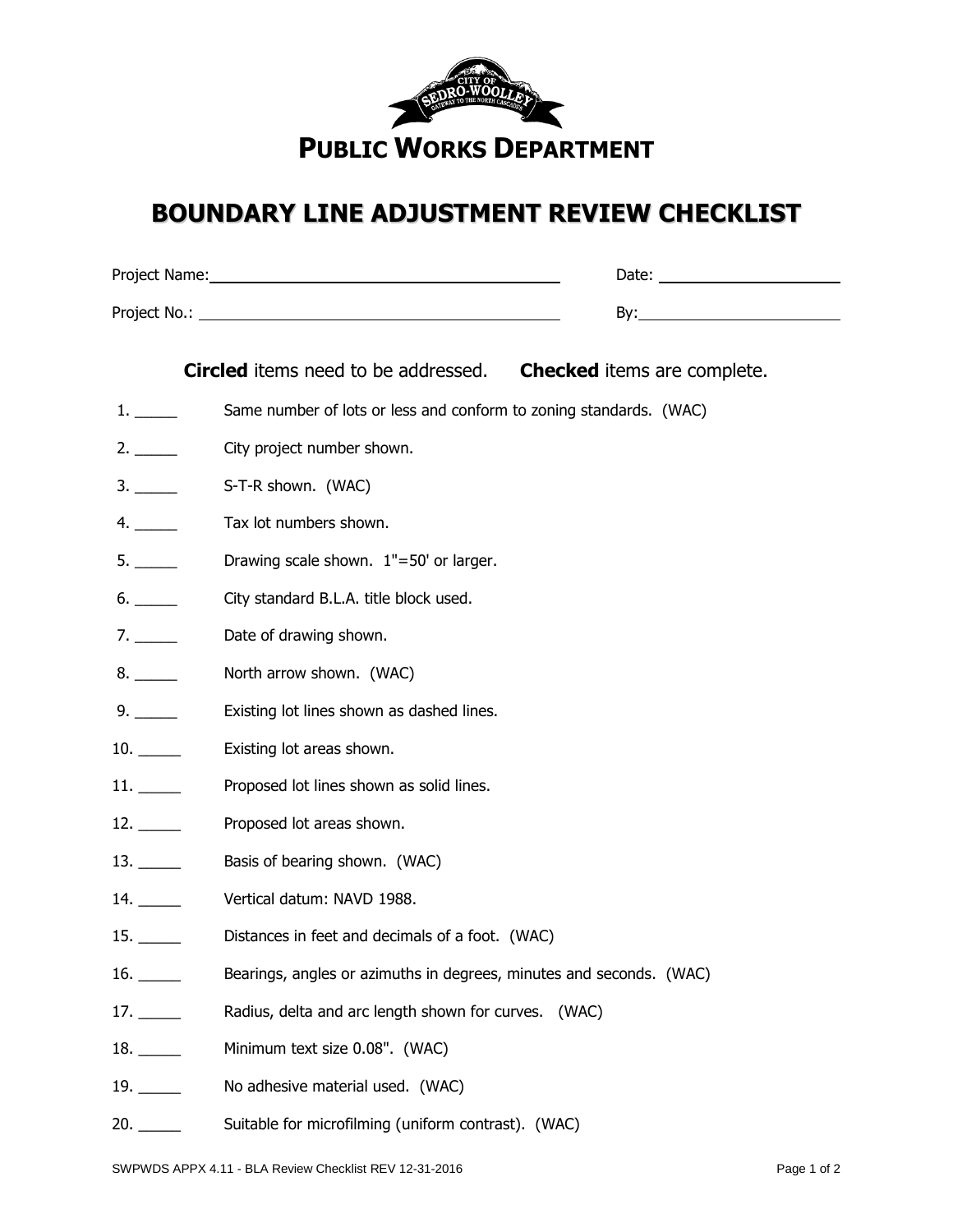

## **BOUNDARY LINE ADJUSTMENT REVIEW CHECKLIST**

|                                       | <b>Circled</b> items need to be addressed. Checked items are complete. |
|---------------------------------------|------------------------------------------------------------------------|
|                                       | Same number of lots or less and conform to zoning standards. (WAC)     |
|                                       | City project number shown.                                             |
| 3.                                    | S-T-R shown. (WAC)                                                     |
| 4.                                    | Tax lot numbers shown.                                                 |
| 5.                                    | Drawing scale shown. 1"=50' or larger.                                 |
|                                       | City standard B.L.A. title block used.                                 |
| 7.                                    | Date of drawing shown.                                                 |
|                                       | North arrow shown. (WAC)                                               |
| 9.                                    | Existing lot lines shown as dashed lines.                              |
|                                       | Existing lot areas shown.                                              |
|                                       | Proposed lot lines shown as solid lines.                               |
|                                       | Proposed lot areas shown.                                              |
|                                       | Basis of bearing shown. (WAC)                                          |
|                                       | Vertical datum: NAVD 1988.                                             |
|                                       | Distances in feet and decimals of a foot. (WAC)                        |
| 16. $\frac{1}{\sqrt{1-\frac{1}{2}}}\$ | Bearings, angles or azimuths in degrees, minutes and seconds. (WAC)    |
|                                       | Radius, delta and arc length shown for curves. (WAC)                   |
| $18.$ $\qquad \qquad$                 | Minimum text size 0.08". (WAC)                                         |
| $19. \_\_$                            | No adhesive material used. (WAC)                                       |
| 20.                                   | Suitable for microfilming (uniform contrast). (WAC)                    |